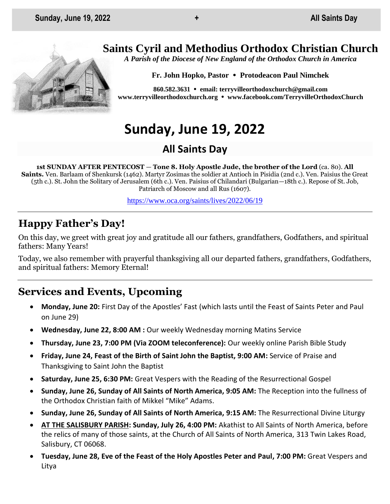## **Saints Cyril and Methodius Orthodox Christian Church**

*A Parish of the Diocese of New England of the Orthodox Church in America*

**Fr. John Hopko, Pastor Protodeacon Paul Nimchek**

**860.582.3631 email: [terryvilleorthodoxchurch@gmail.com](mailto:saintcyril@snet.net) [www.terryvilleorthodoxchurch.org](http://www.terryvilleorthodoxchurch.org/) [www.facebook.com/TerryvilleOrthodoxChurch](http://www.facebook.com/TerryvilleOrthodoxChurch)**

# **Sunday, June 19, 2022**

## **All Saints Day**

**1st SUNDAY AFTER PENTECOST** — **Tone 8. Holy Apostle Jude, the brother of the Lord** (ca. 80). **All Saints.** Ven. Barlaam of Shenkursk (1462). Martyr Zosimas the soldier at Antioch in Pisidia (2nd c.). Ven. Paisius the Great (5th c.). St. John the Solitary of Jerusalem (6th c.). Ven. Paisius of Chilandari (Bulgarian—18th c.). Repose of St. Job, Patriarch of Moscow and all Rus (1607).

<https://www.oca.org/saints/lives/2022/06/19>

## **Happy Father's Day!**

On this day, we greet with great joy and gratitude all our fathers, grandfathers, Godfathers, and spiritual fathers: Many Years!

Today, we also remember with prayerful thanksgiving all our departed fathers, grandfathers, Godfathers, and spiritual fathers: Memory Eternal!

## **Services and Events, Upcoming**

- **Monday, June 20:** First Day of the Apostles' Fast (which lasts until the Feast of Saints Peter and Paul on June 29)
- **Wednesday, June 22, 8:00 AM :** Our weekly Wednesday morning Matins Service
- **Thursday, June 23, 7:00 PM (Via ZOOM teleconference):** Our weekly online Parish Bible Study
- **Friday, June 24, Feast of the Birth of Saint John the Baptist, 9:00 AM:** Service of Praise and Thanksgiving to Saint John the Baptist
- **Saturday, June 25, 6:30 PM:** Great Vespers with the Reading of the Resurrectional Gospel
- **Sunday, June 26, Sunday of All Saints of North America, 9:05 AM:** The Reception into the fullness of the Orthodox Christian faith of Mikkel "Mike" Adams.
- **Sunday, June 26, Sunday of All Saints of North America, 9:15 AM:** The Resurrectional Divine Liturgy
- **AT THE SALISBURY PARISH: Sunday, July 26, 4:00 PM:** Akathist to All Saints of North America, before the relics of many of those saints, at the Church of All Saints of North America, 313 Twin Lakes Road, Salisbury, CT 06068.
- **Tuesday, June 28, Eve of the Feast of the Holy Apostles Peter and Paul, 7:00 PM:** Great Vespers and Litya

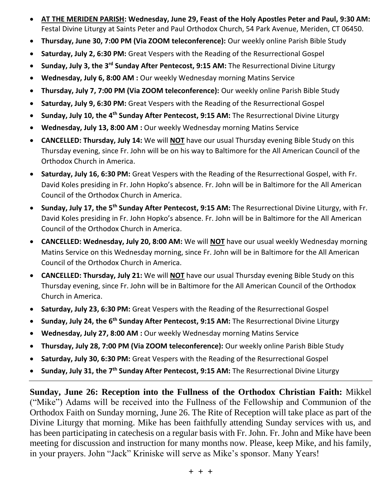- **AT THE MERIDEN PARISH: Wednesday, June 29, Feast of the Holy Apostles Peter and Paul, 9:30 AM:**  Festal Divine Liturgy at Saints Peter and Paul Orthodox Church, 54 Park Avenue, Meriden, CT 06450.
- **Thursday, June 30, 7:00 PM (Via ZOOM teleconference):** Our weekly online Parish Bible Study
- **Saturday, July 2, 6:30 PM:** Great Vespers with the Reading of the Resurrectional Gospel
- **Sunday, July 3, the 3rd Sunday After Pentecost, 9:15 AM:** The Resurrectional Divine Liturgy
- **Wednesday, July 6, 8:00 AM :** Our weekly Wednesday morning Matins Service
- **Thursday, July 7, 7:00 PM (Via ZOOM teleconference):** Our weekly online Parish Bible Study
- **Saturday, July 9, 6:30 PM:** Great Vespers with the Reading of the Resurrectional Gospel
- **Sunday, July 10, the 4th Sunday After Pentecost, 9:15 AM:** The Resurrectional Divine Liturgy
- **Wednesday, July 13, 8:00 AM :** Our weekly Wednesday morning Matins Service
- **CANCELLED: Thursday, July 14:** We will **NOT** have our usual Thursday evening Bible Study on this Thursday evening, since Fr. John will be on his way to Baltimore for the All American Council of the Orthodox Church in America.
- **Saturday, July 16, 6:30 PM:** Great Vespers with the Reading of the Resurrectional Gospel, with Fr. David Koles presiding in Fr. John Hopko's absence. Fr. John will be in Baltimore for the All American Council of the Orthodox Church in America.
- **Sunday, July 17, the 5th Sunday After Pentecost, 9:15 AM:** The Resurrectional Divine Liturgy, with Fr. David Koles presiding in Fr. John Hopko's absence. Fr. John will be in Baltimore for the All American Council of the Orthodox Church in America.
- **CANCELLED: Wednesday, July 20, 8:00 AM:** We will **NOT** have our usual weekly Wednesday morning Matins Service on this Wednesday morning, since Fr. John will be in Baltimore for the All American Council of the Orthodox Church in America.
- **CANCELLED: Thursday, July 21:** We will **NOT** have our usual Thursday evening Bible Study on this Thursday evening, since Fr. John will be in Baltimore for the All American Council of the Orthodox Church in America.
- **Saturday, July 23, 6:30 PM:** Great Vespers with the Reading of the Resurrectional Gospel
- **Sunday, July 24, the 6th Sunday After Pentecost, 9:15 AM:** The Resurrectional Divine Liturgy
- **Wednesday, July 27, 8:00 AM :** Our weekly Wednesday morning Matins Service
- **Thursday, July 28, 7:00 PM (Via ZOOM teleconference):** Our weekly online Parish Bible Study
- **Saturday, July 30, 6:30 PM:** Great Vespers with the Reading of the Resurrectional Gospel
- **Sunday, July 31, the 7th Sunday After Pentecost, 9:15 AM:** The Resurrectional Divine Liturgy

**Sunday, June 26: Reception into the Fullness of the Orthodox Christian Faith:** Mikkel ("Mike") Adams will be received into the Fullness of the Fellowship and Communion of the Orthodox Faith on Sunday morning, June 26. The Rite of Reception will take place as part of the Divine Liturgy that morning. Mike has been faithfully attending Sunday services with us, and has been participating in catechesis on a regular basis with Fr. John. Fr. John and Mike have been meeting for discussion and instruction for many months now. Please, keep Mike, and his family, in your prayers. John "Jack" Kriniske will serve as Mike's sponsor. Many Years!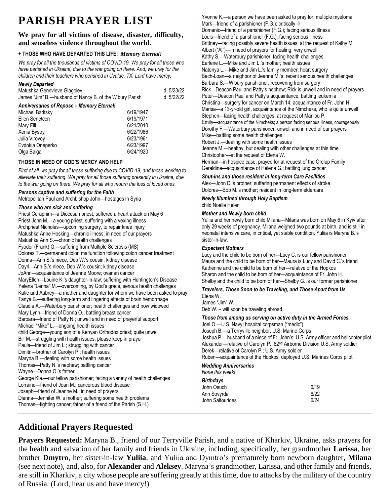# **PARISH PRAYER LIST**

### **We pray for all victims of disease, disaster, difficulty, and senseless violence throughout the world.**

#### **+ THOSE WHO HAVE DEPARTED THIS LIFE:** *Memory Eternal!*

*We pray for all the thousands of victims of COVID-19. We pray for all those who have perished in Ukraine, due to the war going on there. And, we pray for the children and their teachers who perished in Uvalde, TX. Lord have mercy.* 

#### *Newly Departed*

| Matushka Genevieve Glagolev                             | d. 5/23/22 |
|---------------------------------------------------------|------------|
| James "Jim" B.—husband of Nancy B. of the W'bury Parish | d. 5/22/22 |

#### *Anniversaries of Repose – Memory Eternal!*

| Michael Baritsky | 6/19/1947 |
|------------------|-----------|
| Ellen Senetcen   | 6/19/1971 |
| Mary Fill        | 6/21/2010 |
| Xenia Bystry     | 6/22/1986 |
| Julia Virovov    | 6/23/1961 |
| Evdokia Oneperko | 6/23/1997 |
| Olga Baiga       | 6/24/1920 |

#### **THOSE IN NEED OF GOD'S MERCY AND HELP**

*First of all, we pray for all those suffering due to COVID-19, and those working to alleviate their suffering. We pray for all those suffering presently in Ukraine, due to the war going on there. We pray for all who mourn the loss of loved ones.* 

#### *Persons captive and suffering for the Faith*

Metropolitan Paul and Archbishop John—hostages in Syria

#### *Those who are sick and suffering*

Priest Ceraphim—a Diocesan priest; suffered a heart attack on May 6 Priest John M.—a young priest, suffering with a vexing illness Archpriest Nicholas—upcoming surgery, to repair knee injury Matushka Anne Hosking—chronic illness; in need of our prayers Matushka Ann S.—chronic health challenges Fyodor (Frank) G.—suffering from Multiple Sclerosis (MS) Dolores T.—permanent colon malfunction following colon cancer treatment Donna—Ann S.'s niece, Deb W.'s cousin; kidney disease Dayrl—Ann S.'s niece, Deb W.'s cousin; kidney disease JoAnn—acquaintance of Jeanne Moore; ovarian cancer MaryEllen—Louine K.'s daughter-in-law; suffering with Huntington's Disease Yelena "Lenna" M.—overcoming, by God's grace, serious health challenges Katie and Aubrey—a mother and daughter for whom we have been asked to pray Tanya B.—suffering long-term and lingering effects of brain hemorrhage Claudia A.—Waterbury parishioner; health challenges and now widowed Mary Lynn—friend of Donna O.; battling breast cancer Barbara—friend of Patty N.; unwell and in need of prayerful support Michael "Mike" L.—ongoing health issues child George—young son of a Kenyan Orthodox priest; quite unwell Bill M.—struggling with health issues, please keep in prayer Paula—friend of Jim L.; struggling with cancer Dimitri—brother of Carolyn P.; health issues Maryna B.—dealing with some health issues Thomas—Patty N.'s nephew; battling cancer Wayne—Donna O.'s father George Kla.—our fellow parishioner; facing a variety of health challenges Lorraine—friend of Joan M.; cancerous blood disease Joseph—friend of Jeanne M.; in need of prayers Dianna—Jennifer W.'s mother; suffering some health problems Thomas—fighting cancer; father of a friend of the Parish (S.H.)

Yvonne K.—a person we have been asked to pray for; multiple myeloma Mark—friend of a parishioner (F.G.); critically ill Domenic—friend of a parishioner (F.G.); facing serious illness Louis—friend of a parishioner (F.G.); facing serious illness Brittney—facing possibly severe health issues; at the request of Kathy M. Albert ("Al")—in need of prayers for healing; very unwell Kathy S.—Waterbury parishioner; facing health challenges Earlene L.—Mike and Jim L.'s mother; health issues Natonya L.—Mike and Jim L.'s family member; heart surgery Bach-Loan—a neighbor of Jeanne M.'s; recent serious health challenges Barbara S.—W'bury parishioner; recovering from surgery Rick—Deacon Paul and Patty's nephew; Rick is unwell and in need of prayers Peter—Deacon Paul and Patty's acquaintance; battling leukemia Christina—surgery for cancer on March 14; acquaintance of Fr. John H. Marisa—a 13-yr-old girl, acquaintance of the Nimcheks, who is quite unwell Stephen—facing health challenges; at request of Marilou P. Emily—acquaintance of the Nimcheks; a person facing serious illness, courageously Dorothy F.—Waterbury parishioner; unwell and in need of our prayers Mike—battling some health challenges Robert J.—dealing with some health issues Jeanne M.—healthy, but dealing with other challenges at this time Christopher—at the request of Elena W. Herman—in hospice case; prayed for at request of the Orelup Family Geraldine—acquaintance of Helena G.; battling lung cancer

#### *Shut-ins and those resident in long-term Care Facilities*

Alex—John D.'s brother; suffering permanent effects of stroke Dolores—Bob M.'s mother; resident in long-term eldercare

#### *Newly Illumined through Holy Baptism* child Noelle Helen

#### *Mother and Newly born child*

Yuliia and her newly born child Milana—Milana was born on May 6 in Kyiv after only 29 weeks of pregnancy. Milana weighed two pounds at birth, and is still in neonatal intensive care, in critical, yet stable condition. Yuliia is Maryna B.'s sister-in-law.

#### *Expectant Mothers*

Lucy and the child to be born of her—Lucy C. is our fellow parishioner Maura and the child to be born of her—Maura is Lucy and David C.'s friend Katherine and the child to be born of her—relative of the Hopkos Sharon and the child to be born of her—acquaintance of Fr. John H. Shelby and the child to be born of her—Shelby G. is our former parishioner

#### *Travelers, Those Soon to be Traveling, and Those Apart from Us*

Elena W. James "Jim" W. Deb W. – will soon be traveling abroad

#### *Those from among us serving on active duty in the Armed Forces*

Joel O.—U.S. Navy; hospital corpsman ("medic") Joseph B.—a Terryville neighbor; U.S. Marine Corps Joshua P.—husband of a niece of Fr. John's; U.S. Army officer and helicopter pilot Alexander—relative of Carolyn P.; 82nd Airborne Division U.S. Army soldier Derek—relative of Carolyn P.; U.S. Army soldier Ruben—acquaintance of the Hopkos, deployed U.S. Marines Corps pilot

#### *Wedding Anniversaries None this week!*

#### *Birthdays*

| <b>DITUIUAVS</b> |      |
|------------------|------|
| John Osuch       | 6/19 |
| Ann Sovyrda      | 6/22 |
| John Saltourides | 6/24 |
|                  |      |

## **Additional Prayers Requested**

**Prayers Requested:** Maryna B., friend of our Terryville Parish, and a native of Kharkiv, Ukraine, asks prayers for the health and salvation of her family and friends in Ukraine, including, specifically, her grandmother **Larissa**, her brother **Dmytro**, her sister-in-law **Yuliia**, and Yuliia and Dymtro's prematurely born newborn daughter, **Milana** (see next note), and, also, for **Alexander** and **Aleksey**. Maryna's grandmother, Larissa, and other family and friends, are still in Kharkiv, a city whose people are suffering greatly at this time, due to attacks by the military of the country of Russia. (Lord, hear us and have mercy!)